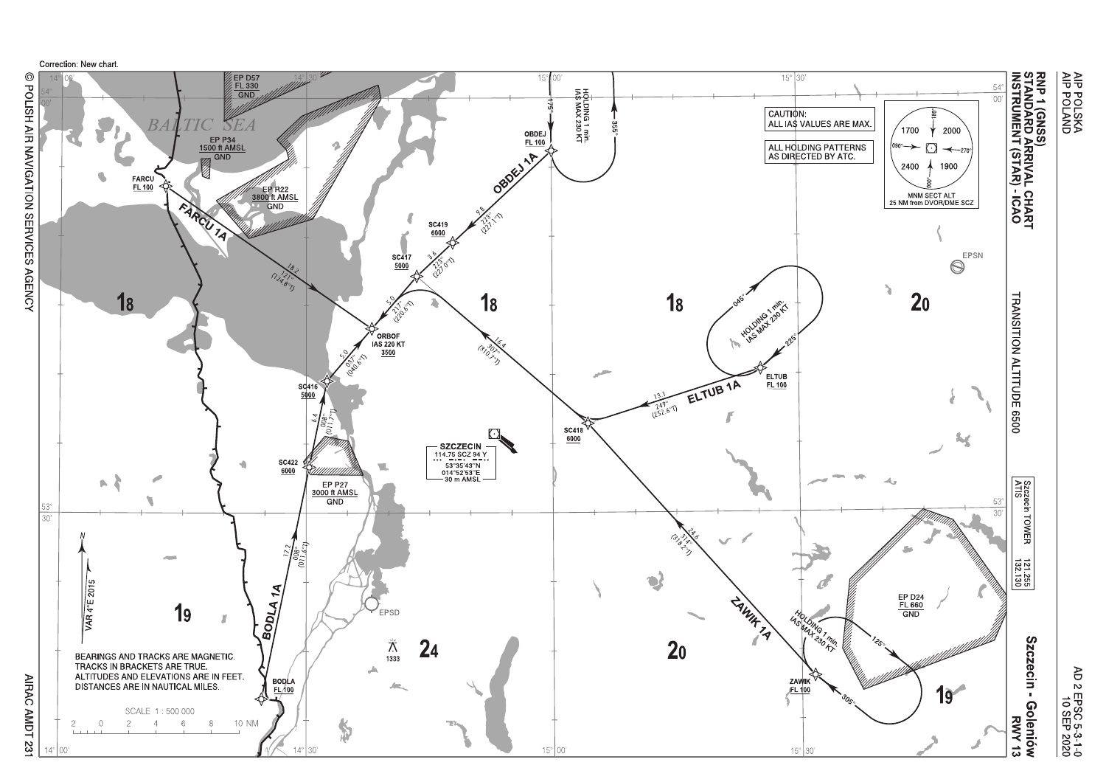

AIRAC AMDT 231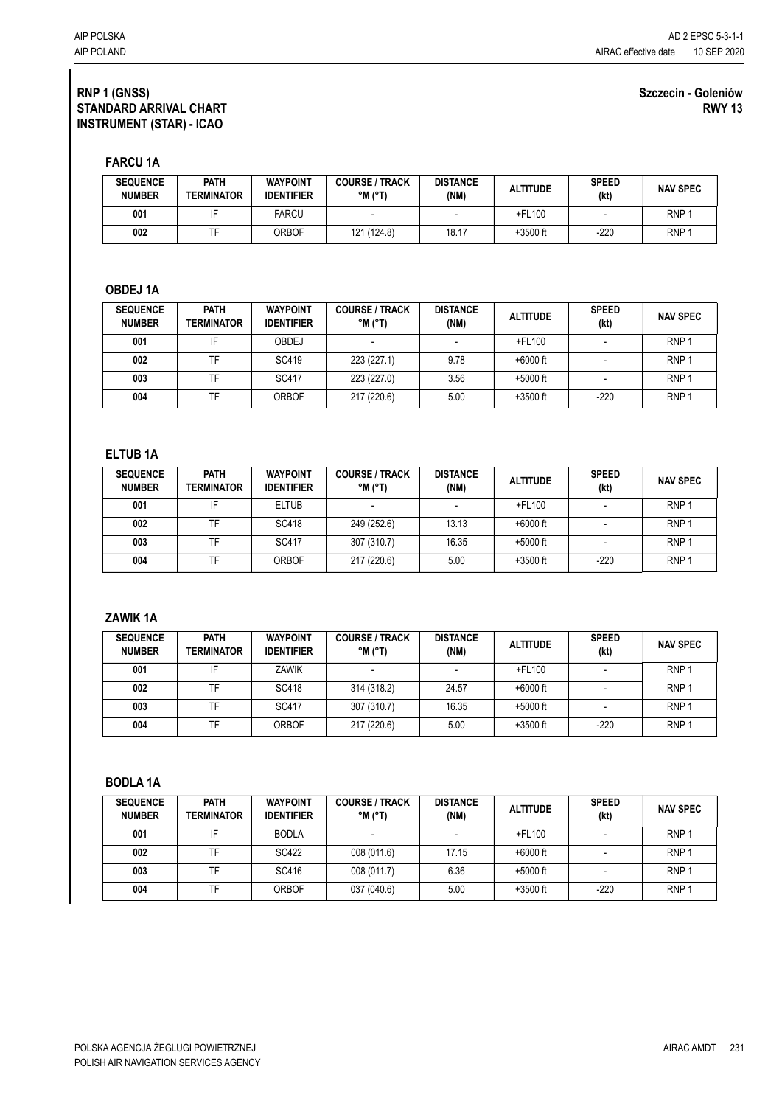#### **Szczecin - Goleniów RWY 13**

**FARCU 1A**

| <b>SEQUENCE</b><br><b>NUMBER</b> | <b>PATH</b><br><b>TERMINATOR</b> | <b>WAYPOINT</b><br><b>IDENTIFIER</b> | <b>COURSE / TRACK</b><br>$^{\circ}$ M ( $^{\circ}$ T) | <b>DISTANCE</b><br>(NM) | <b>ALTITUDE</b> | <b>SPEED</b><br>(kt) | <b>NAV SPEC</b>  |
|----------------------------------|----------------------------------|--------------------------------------|-------------------------------------------------------|-------------------------|-----------------|----------------------|------------------|
| 001                              |                                  | FARCU                                |                                                       |                         | $+$ FL100       |                      | RNP <sub>1</sub> |
| 002                              |                                  | ORBOF                                | 121 (124.8)                                           | 18.17                   | $+3500$ ft      | $-220$               | RNP <sub>1</sub> |

# **OBDEJ 1A**

| <b>SEQUENCE</b><br><b>NUMBER</b> | <b>PATH</b><br>TERMINATOR | <b>WAYPOINT</b><br><b>IDENTIFIER</b> | <b>COURSE / TRACK</b><br>$^{\circ}$ M ( $^{\circ}$ T) | <b>DISTANCE</b><br>(NM) | <b>ALTITUDE</b> | <b>SPEED</b><br>(kt) | <b>NAV SPEC</b>  |
|----------------------------------|---------------------------|--------------------------------------|-------------------------------------------------------|-------------------------|-----------------|----------------------|------------------|
| 001                              |                           | OBDEJ                                |                                                       |                         | $+$ FL100       |                      | RNP <sup>-</sup> |
| 002                              | TF                        | SC419                                | 223 (227.1)                                           | 9.78                    | $+6000$ ft      |                      | RNP <sub>1</sub> |
| 003                              | TF                        | SC417                                | 223 (227.0)                                           | 3.56                    | $+5000$ ft      |                      | RNP <sub>1</sub> |
| 004                              | TF                        | ORBOF                                | 217 (220.6)                                           | 5.00                    | $+3500$ ft      | $-220$               | RNP <sub>1</sub> |

## **ELTUB 1A**

| <b>SEQUENCE</b><br><b>NUMBER</b> | <b>PATH</b><br>TERMINATOR | <b>WAYPOINT</b><br><b>IDENTIFIER</b> | <b>COURSE / TRACK</b><br>$^{\circ}$ M ( $^{\circ}$ T) | <b>DISTANCE</b><br>(NM) | <b>ALTITUDE</b> | <b>SPEED</b><br>(kt) | <b>NAV SPEC</b>  |
|----------------------------------|---------------------------|--------------------------------------|-------------------------------------------------------|-------------------------|-----------------|----------------------|------------------|
| 001                              | IF                        | <b>ELTUB</b>                         |                                                       |                         | $+$ FL100       |                      | RNP <sub>1</sub> |
| 002                              | TF                        | <b>SC418</b>                         | 249 (252.6)                                           | 13.13                   | $+6000$ ft      |                      | RNP <sub>1</sub> |
| 003                              | TF                        | SC417                                | 307 (310.7)                                           | 16.35                   | $+5000$ ft      |                      | RNP <sub>1</sub> |
| 004                              | TF                        | ORBOF                                | 217 (220.6)                                           | 5.00                    | $+3500$ ft      | $-220$               | RNP <sub>1</sub> |

### **ZAWIK 1A**

| <b>SEQUENCE</b><br><b>NUMBER</b> | <b>PATH</b><br><b>TERMINATOR</b> | <b>WAYPOINT</b><br><b>IDENTIFIER</b> | <b>COURSE / TRACK</b><br>$^{\circ}$ M ( $^{\circ}$ T) | <b>DISTANCE</b><br>(NM) | <b>ALTITUDE</b> | <b>SPEED</b><br>(kt) | <b>NAV SPEC</b>  |
|----------------------------------|----------------------------------|--------------------------------------|-------------------------------------------------------|-------------------------|-----------------|----------------------|------------------|
| 001                              |                                  | ZAWIK                                |                                                       |                         | $+$ FL100       |                      | RNP <sup>-</sup> |
| 002                              | TF                               | <b>SC418</b>                         | 314 (318.2)                                           | 24.57                   | $+6000$ ft      |                      | RNP <sub>1</sub> |
| 003                              | TF                               | <b>SC417</b>                         | 307 (310.7)                                           | 16.35                   | $+5000$ ft      |                      | RNP <sub>1</sub> |
| 004                              | TF                               | ORBOF                                | 217 (220.6)                                           | 5.00                    | $+3500$ ft      | $-220$               | RNP <sup>-</sup> |

#### **BODLA 1A**

| <b>SEQUENCE</b><br><b>NUMBER</b> | <b>PATH</b><br>TERMINATOR | <b>WAYPOINT</b><br><b>IDENTIFIER</b> | <b>COURSE / TRACK</b><br>$^{\circ}$ M $^{\circ}$ T) | <b>DISTANCE</b><br>(NM) | <b>ALTITUDE</b> | <b>SPEED</b><br>(kt) | <b>NAV SPEC</b>  |
|----------------------------------|---------------------------|--------------------------------------|-----------------------------------------------------|-------------------------|-----------------|----------------------|------------------|
| 001                              | IF                        | <b>BODLA</b>                         |                                                     |                         | +FL100          |                      | RNP <sub>1</sub> |
| 002                              | TF                        | SC422                                | 008 (011.6)                                         | 17.15                   | $+6000$ ft      |                      | RNP <sub>1</sub> |
| 003                              | TF                        | SC416                                | 008 (011.7)                                         | 6.36                    | $+5000$ ft      |                      | RNP <sub>1</sub> |
| 004                              | TF                        | ORBOF                                | 037 (040.6)                                         | 5.00                    | $+3500$ ft      | $-220$               | RNP <sub>1</sub> |